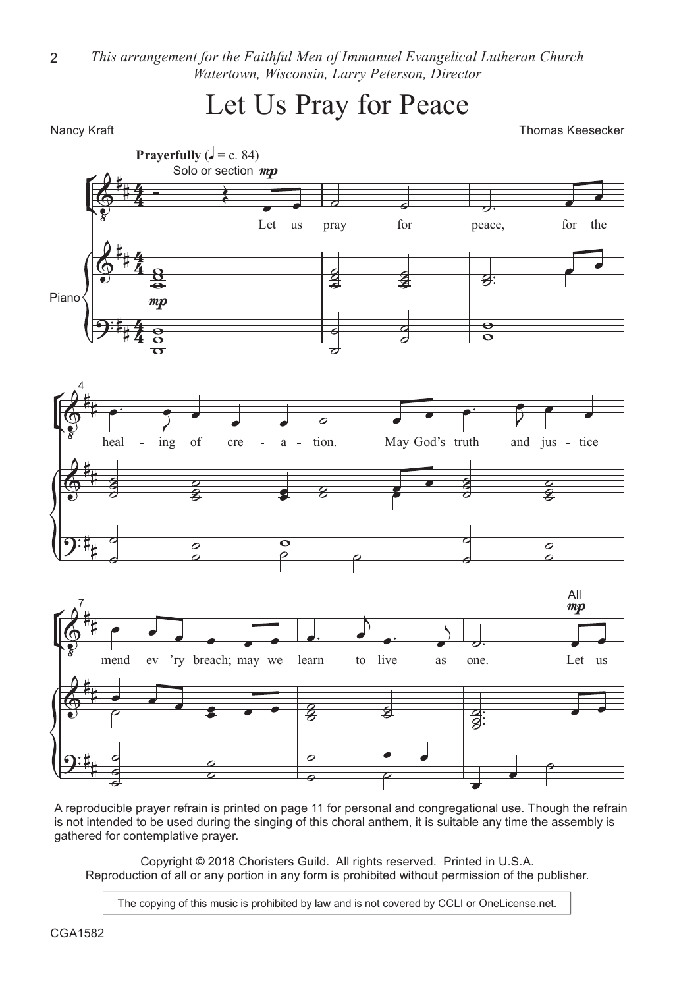*This arrangement for the Faithful Men of Immanuel Evangelical Lutheran Church Watertown, Wisconsin, Larry Peterson, Director* 2

Let Us Pray for Peace

Nancy Kraft **Thomas Keesecker Nancy Kraft** Thomas Keesecker **Thomas Keesecker** 



A reproducible prayer refrain is printed on page 11 for personal and congregational use. Though the refrain is not intended to be used during the singing of this choral anthem, it is suitable any time the assembly is gathered for contemplative prayer.

Copyright © 2018 Choristers Guild. All rights reserved. Printed in U.S.A. Reproduction of all or any portion in any form is prohibited without permission of the publisher.

The copying of this music is prohibited by law and is not covered by CCLI or OneLicense.net.

CGA1582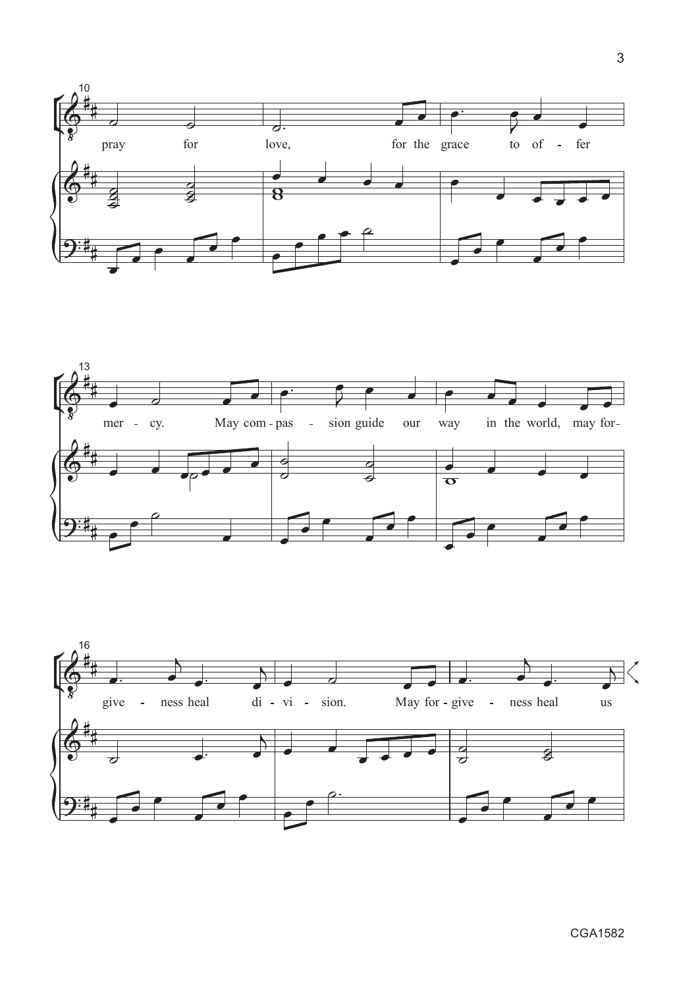





CGA1582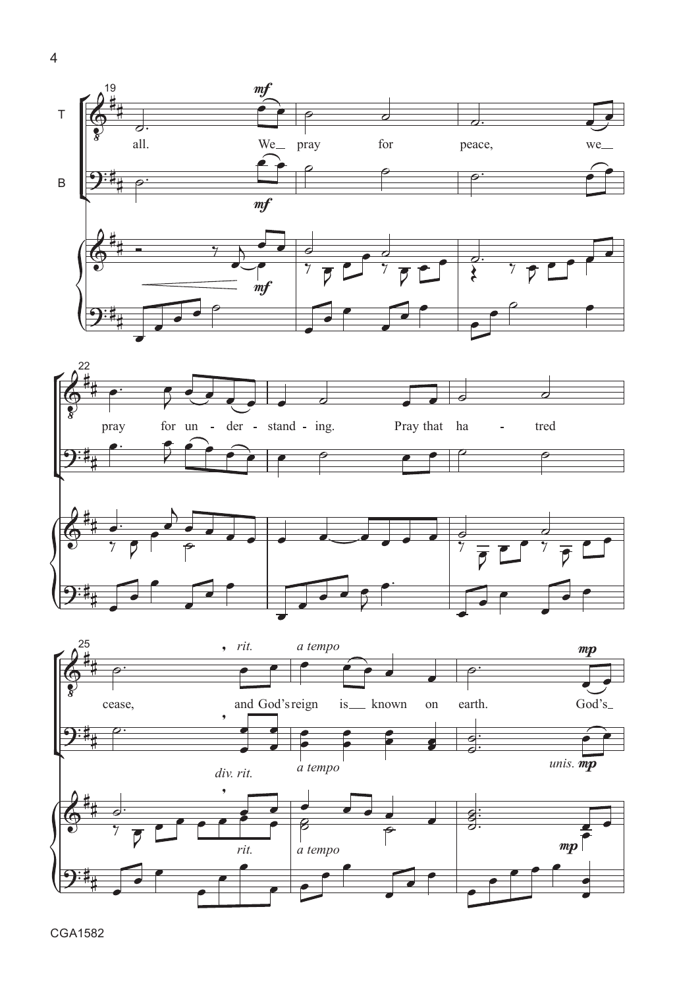





4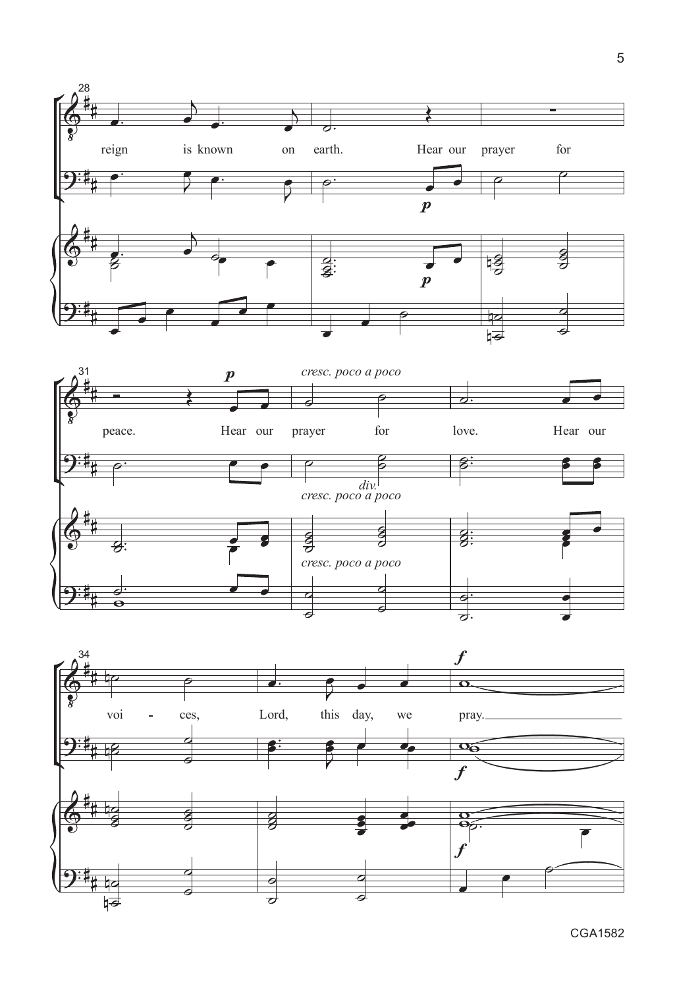